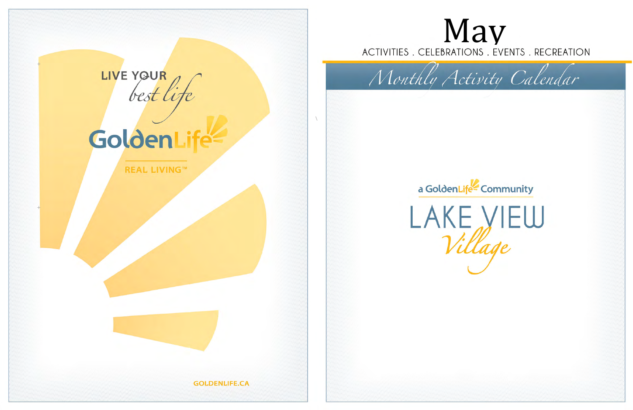